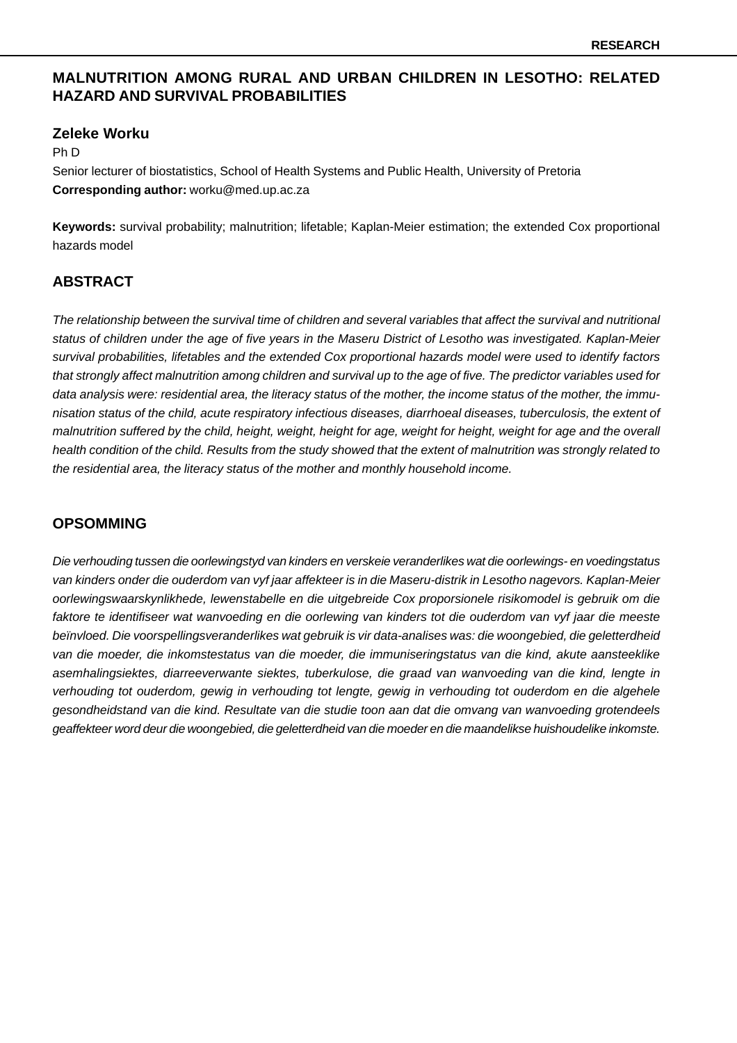# **MALNUTRITION AMONG RURAL AND URBAN CHILDREN IN LESOTHO: RELATED HAZARD AND SURVIVAL PROBABILITIES**

### **Zeleke Worku**

Ph D

Senior lecturer of biostatistics, School of Health Systems and Public Health, University of Pretoria **Corresponding author:** worku@med.up.ac.za

**Keywords:** survival probability; malnutrition; lifetable; Kaplan-Meier estimation; the extended Cox proportional hazards model

### **ABSTRACT**

The relationship between the survival time of children and several variables that affect the survival and nutritional status of children under the age of five years in the Maseru District of Lesotho was investigated. Kaplan-Meier survival probabilities, lifetables and the extended Cox proportional hazards model were used to identify factors that strongly affect malnutrition among children and survival up to the age of five. The predictor variables used for data analysis were: residential area, the literacy status of the mother, the income status of the mother, the immunisation status of the child, acute respiratory infectious diseases, diarrhoeal diseases, tuberculosis, the extent of malnutrition suffered by the child, height, weight, height for age, weight for height, weight for age and the overall health condition of the child. Results from the study showed that the extent of malnutrition was strongly related to the residential area, the literacy status of the mother and monthly household income.

### **OPSOMMING**

Die verhouding tussen die oorlewingstyd van kinders en verskeie veranderlikes wat die oorlewings- en voedingstatus van kinders onder die ouderdom van vyf jaar affekteer is in die Maseru-distrik in Lesotho nagevors. Kaplan-Meier oorlewingswaarskynlikhede, lewenstabelle en die uitgebreide Cox proporsionele risikomodel is gebruik om die faktore te identifiseer wat wanvoeding en die oorlewing van kinders tot die ouderdom van vyf jaar die meeste beïnvloed. Die voorspellingsveranderlikes wat gebruik is vir data-analises was: die woongebied, die geletterdheid van die moeder, die inkomstestatus van die moeder, die immuniseringstatus van die kind, akute aansteeklike asemhalingsiektes, diarreeverwante siektes, tuberkulose, die graad van wanvoeding van die kind, lengte in verhouding tot ouderdom, gewig in verhouding tot lengte, gewig in verhouding tot ouderdom en die algehele gesondheidstand van die kind. Resultate van die studie toon aan dat die omvang van wanvoeding grotendeels geaffekteer word deur die woongebied, die geletterdheid van die moeder en die maandelikse huishoudelike inkomste.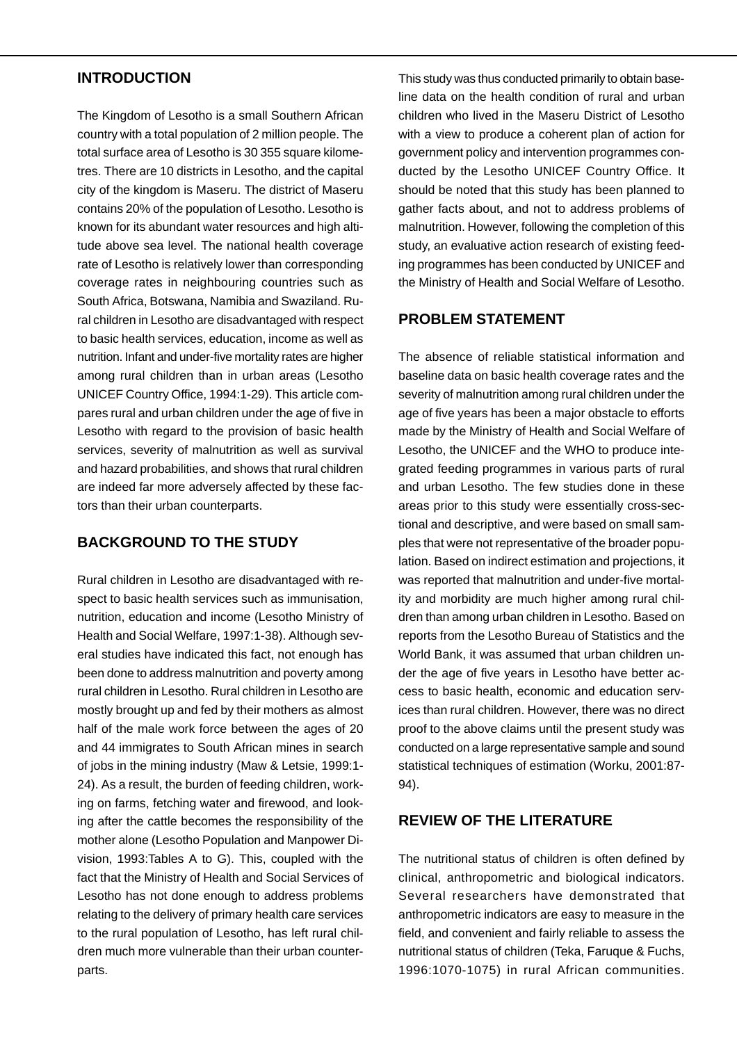## **INTRODUCTION**

The Kingdom of Lesotho is a small Southern African country with a total population of 2 million people. The total surface area of Lesotho is 30 355 square kilometres. There are 10 districts in Lesotho, and the capital city of the kingdom is Maseru. The district of Maseru contains 20% of the population of Lesotho. Lesotho is known for its abundant water resources and high altitude above sea level. The national health coverage rate of Lesotho is relatively lower than corresponding coverage rates in neighbouring countries such as South Africa, Botswana, Namibia and Swaziland. Rural children in Lesotho are disadvantaged with respect to basic health services, education, income as well as nutrition. Infant and under-five mortality rates are higher among rural children than in urban areas (Lesotho UNICEF Country Office, 1994:1-29). This article compares rural and urban children under the age of five in Lesotho with regard to the provision of basic health services, severity of malnutrition as well as survival and hazard probabilities, and shows that rural children are indeed far more adversely affected by these factors than their urban counterparts.

# **BACKGROUND TO THE STUDY**

Rural children in Lesotho are disadvantaged with respect to basic health services such as immunisation, nutrition, education and income (Lesotho Ministry of Health and Social Welfare, 1997:1-38). Although several studies have indicated this fact, not enough has been done to address malnutrition and poverty among rural children in Lesotho. Rural children in Lesotho are mostly brought up and fed by their mothers as almost half of the male work force between the ages of 20 and 44 immigrates to South African mines in search of jobs in the mining industry (Maw & Letsie, 1999:1- 24). As a result, the burden of feeding children, working on farms, fetching water and firewood, and looking after the cattle becomes the responsibility of the mother alone (Lesotho Population and Manpower Division, 1993:Tables A to G). This, coupled with the fact that the Ministry of Health and Social Services of Lesotho has not done enough to address problems relating to the delivery of primary health care services to the rural population of Lesotho, has left rural children much more vulnerable than their urban counterparts.

This study was thus conducted primarily to obtain baseline data on the health condition of rural and urban children who lived in the Maseru District of Lesotho with a view to produce a coherent plan of action for government policy and intervention programmes conducted by the Lesotho UNICEF Country Office. It should be noted that this study has been planned to gather facts about, and not to address problems of malnutrition. However, following the completion of this study, an evaluative action research of existing feeding programmes has been conducted by UNICEF and the Ministry of Health and Social Welfare of Lesotho.

# **PROBLEM STATEMENT**

The absence of reliable statistical information and baseline data on basic health coverage rates and the severity of malnutrition among rural children under the age of five years has been a major obstacle to efforts made by the Ministry of Health and Social Welfare of Lesotho, the UNICEF and the WHO to produce integrated feeding programmes in various parts of rural and urban Lesotho. The few studies done in these areas prior to this study were essentially cross-sectional and descriptive, and were based on small samples that were not representative of the broader population. Based on indirect estimation and projections, it was reported that malnutrition and under-five mortality and morbidity are much higher among rural children than among urban children in Lesotho. Based on reports from the Lesotho Bureau of Statistics and the World Bank, it was assumed that urban children under the age of five years in Lesotho have better access to basic health, economic and education services than rural children. However, there was no direct proof to the above claims until the present study was conducted on a large representative sample and sound statistical techniques of estimation (Worku, 2001:87- 94).

## **REVIEW OF THE LITERATURE**

The nutritional status of children is often defined by clinical, anthropometric and biological indicators. Several researchers have demonstrated that anthropometric indicators are easy to measure in the field, and convenient and fairly reliable to assess the nutritional status of children (Teka, Faruque & Fuchs, 1996:1070-1075) in rural African communities.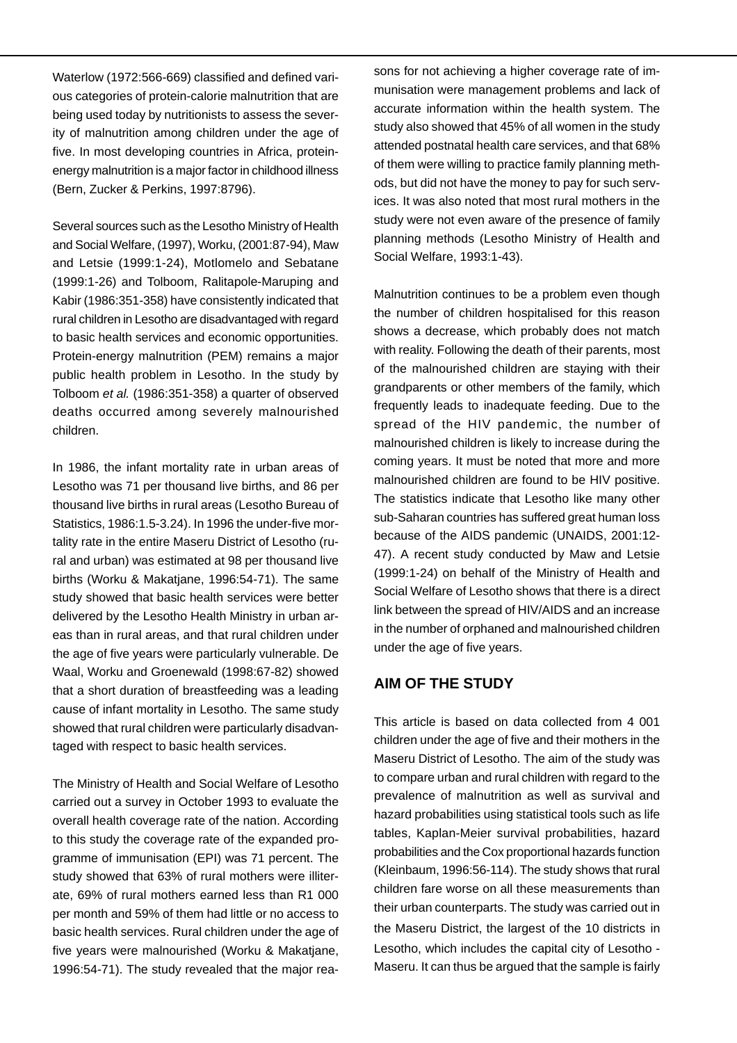Waterlow (1972:566-669) classified and defined various categories of protein-calorie malnutrition that are being used today by nutritionists to assess the severity of malnutrition among children under the age of five. In most developing countries in Africa, proteinenergy malnutrition is a major factor in childhood illness (Bern, Zucker & Perkins, 1997:8796).

Several sources such as the Lesotho Ministry of Health and Social Welfare, (1997), Worku, (2001:87-94), Maw and Letsie (1999:1-24), Motlomelo and Sebatane (1999:1-26) and Tolboom, Ralitapole-Maruping and Kabir (1986:351-358) have consistently indicated that rural children in Lesotho are disadvantaged with regard to basic health services and economic opportunities. Protein-energy malnutrition (PEM) remains a major public health problem in Lesotho. In the study by Tolboom et al. (1986:351-358) a quarter of observed deaths occurred among severely malnourished children.

In 1986, the infant mortality rate in urban areas of Lesotho was 71 per thousand live births, and 86 per thousand live births in rural areas (Lesotho Bureau of Statistics, 1986:1.5-3.24). In 1996 the under-five mortality rate in the entire Maseru District of Lesotho (rural and urban) was estimated at 98 per thousand live births (Worku & Makatjane, 1996:54-71). The same study showed that basic health services were better delivered by the Lesotho Health Ministry in urban areas than in rural areas, and that rural children under the age of five years were particularly vulnerable. De Waal, Worku and Groenewald (1998:67-82) showed that a short duration of breastfeeding was a leading cause of infant mortality in Lesotho. The same study showed that rural children were particularly disadvantaged with respect to basic health services.

The Ministry of Health and Social Welfare of Lesotho carried out a survey in October 1993 to evaluate the overall health coverage rate of the nation. According to this study the coverage rate of the expanded programme of immunisation (EPI) was 71 percent. The study showed that 63% of rural mothers were illiterate, 69% of rural mothers earned less than R1 000 per month and 59% of them had little or no access to basic health services. Rural children under the age of five years were malnourished (Worku & Makatjane, 1996:54-71). The study revealed that the major reasons for not achieving a higher coverage rate of immunisation were management problems and lack of accurate information within the health system. The study also showed that 45% of all women in the study attended postnatal health care services, and that 68% of them were willing to practice family planning methods, but did not have the money to pay for such services. It was also noted that most rural mothers in the study were not even aware of the presence of family planning methods (Lesotho Ministry of Health and Social Welfare, 1993:1-43).

Malnutrition continues to be a problem even though the number of children hospitalised for this reason shows a decrease, which probably does not match with reality. Following the death of their parents, most of the malnourished children are staying with their grandparents or other members of the family, which frequently leads to inadequate feeding. Due to the spread of the HIV pandemic, the number of malnourished children is likely to increase during the coming years. It must be noted that more and more malnourished children are found to be HIV positive. The statistics indicate that Lesotho like many other sub-Saharan countries has suffered great human loss because of the AIDS pandemic (UNAIDS, 2001:12- 47). A recent study conducted by Maw and Letsie (1999:1-24) on behalf of the Ministry of Health and Social Welfare of Lesotho shows that there is a direct link between the spread of HIV/AIDS and an increase in the number of orphaned and malnourished children under the age of five years.

## **AIM OF THE STUDY**

This article is based on data collected from 4 001 children under the age of five and their mothers in the Maseru District of Lesotho. The aim of the study was to compare urban and rural children with regard to the prevalence of malnutrition as well as survival and hazard probabilities using statistical tools such as life tables, Kaplan-Meier survival probabilities, hazard probabilities and the Cox proportional hazards function (Kleinbaum, 1996:56-114). The study shows that rural children fare worse on all these measurements than their urban counterparts. The study was carried out in the Maseru District, the largest of the 10 districts in Lesotho, which includes the capital city of Lesotho - Maseru. It can thus be argued that the sample is fairly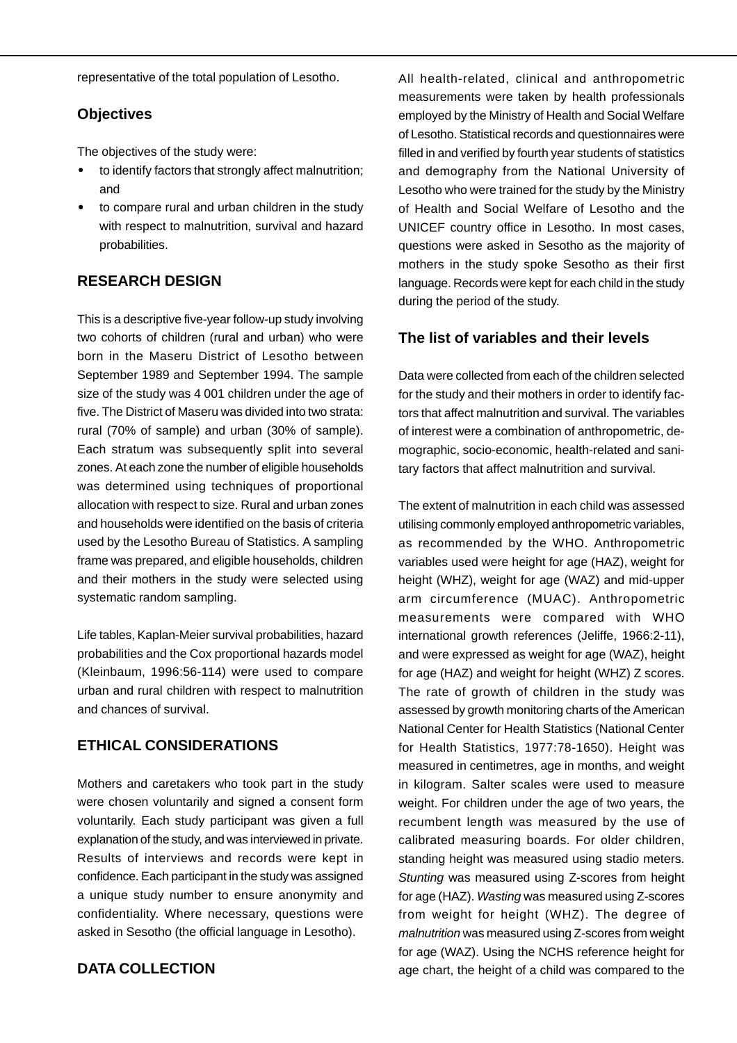representative of the total population of Lesotho.

## **Objectives**

The objectives of the study were:

- to identify factors that strongly affect malnutrition; and
- to compare rural and urban children in the study with respect to malnutrition, survival and hazard probabilities.

# **RESEARCH DESIGN**

This is a descriptive five-year follow-up study involving two cohorts of children (rural and urban) who were born in the Maseru District of Lesotho between September 1989 and September 1994. The sample size of the study was 4 001 children under the age of five. The District of Maseru was divided into two strata: rural (70% of sample) and urban (30% of sample). Each stratum was subsequently split into several zones. At each zone the number of eligible households was determined using techniques of proportional allocation with respect to size. Rural and urban zones and households were identified on the basis of criteria used by the Lesotho Bureau of Statistics. A sampling frame was prepared, and eligible households, children and their mothers in the study were selected using systematic random sampling.

Life tables, Kaplan-Meier survival probabilities, hazard probabilities and the Cox proportional hazards model (Kleinbaum, 1996:56-114) were used to compare urban and rural children with respect to malnutrition and chances of survival.

# **ETHICAL CONSIDERATIONS**

Mothers and caretakers who took part in the study were chosen voluntarily and signed a consent form voluntarily. Each study participant was given a full explanation of the study, and was interviewed in private. Results of interviews and records were kept in confidence. Each participant in the study was assigned a unique study number to ensure anonymity and confidentiality. Where necessary, questions were asked in Sesotho (the official language in Lesotho).

# **DATA COLLECTION**

All health-related, clinical and anthropometric measurements were taken by health professionals employed by the Ministry of Health and Social Welfare of Lesotho. Statistical records and questionnaires were filled in and verified by fourth year students of statistics and demography from the National University of Lesotho who were trained for the study by the Ministry of Health and Social Welfare of Lesotho and the UNICEF country office in Lesotho. In most cases, questions were asked in Sesotho as the majority of mothers in the study spoke Sesotho as their first language. Records were kept for each child in the study during the period of the study.

## **The list of variables and their levels**

Data were collected from each of the children selected for the study and their mothers in order to identify factors that affect malnutrition and survival. The variables of interest were a combination of anthropometric, demographic, socio-economic, health-related and sanitary factors that affect malnutrition and survival.

The extent of malnutrition in each child was assessed utilising commonly employed anthropometric variables, as recommended by the WHO. Anthropometric variables used were height for age (HAZ), weight for height (WHZ), weight for age (WAZ) and mid-upper arm circumference (MUAC). Anthropometric measurements were compared with WHO international growth references (Jeliffe, 1966:2-11), and were expressed as weight for age (WAZ), height for age (HAZ) and weight for height (WHZ) Z scores. The rate of growth of children in the study was assessed by growth monitoring charts of the American National Center for Health Statistics (National Center for Health Statistics, 1977:78-1650). Height was measured in centimetres, age in months, and weight in kilogram. Salter scales were used to measure weight. For children under the age of two years, the recumbent length was measured by the use of calibrated measuring boards. For older children, standing height was measured using stadio meters. Stunting was measured using Z-scores from height for age (HAZ). Wasting was measured using Z-scores from weight for height (WHZ). The degree of malnutrition was measured using Z-scores from weight for age (WAZ). Using the NCHS reference height for age chart, the height of a child was compared to the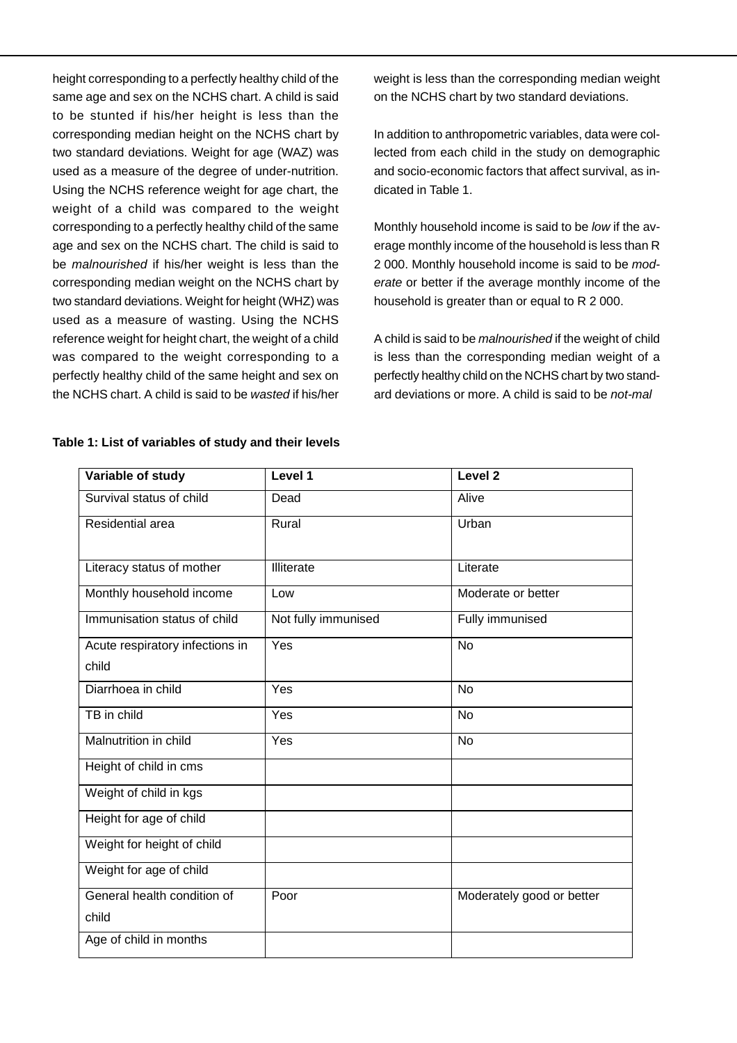height corresponding to a perfectly healthy child of the same age and sex on the NCHS chart. A child is said to be stunted if his/her height is less than the corresponding median height on the NCHS chart by two standard deviations. Weight for age (WAZ) was used as a measure of the degree of under-nutrition. Using the NCHS reference weight for age chart, the weight of a child was compared to the weight corresponding to a perfectly healthy child of the same age and sex on the NCHS chart. The child is said to be malnourished if his/her weight is less than the corresponding median weight on the NCHS chart by two standard deviations. Weight for height (WHZ) was used as a measure of wasting. Using the NCHS reference weight for height chart, the weight of a child was compared to the weight corresponding to a perfectly healthy child of the same height and sex on the NCHS chart. A child is said to be wasted if his/her weight is less than the corresponding median weight on the NCHS chart by two standard deviations.

In addition to anthropometric variables, data were collected from each child in the study on demographic and socio-economic factors that affect survival, as indicated in Table 1.

Monthly household income is said to be low if the average monthly income of the household is less than R 2 000. Monthly household income is said to be moderate or better if the average monthly income of the household is greater than or equal to R 2 000.

A child is said to be malnourished if the weight of child is less than the corresponding median weight of a perfectly healthy child on the NCHS chart by two standard deviations or more. A child is said to be not-mal

| Variable of study               | Level 1             | Level <sub>2</sub>        |
|---------------------------------|---------------------|---------------------------|
| Survival status of child        | Dead                | Alive                     |
| Residential area                | Rural               | Urban                     |
| Literacy status of mother       | Illiterate          | Literate                  |
| Monthly household income        | Low                 | Moderate or better        |
| Immunisation status of child    | Not fully immunised | Fully immunised           |
| Acute respiratory infections in | Yes                 | <b>No</b>                 |
| child                           |                     |                           |
| Diarrhoea in child              | Yes                 | <b>No</b>                 |
| TB in child                     | Yes                 | <b>No</b>                 |
| Malnutrition in child           | Yes                 | <b>No</b>                 |
| Height of child in cms          |                     |                           |
| Weight of child in kgs          |                     |                           |
| Height for age of child         |                     |                           |
| Weight for height of child      |                     |                           |
| Weight for age of child         |                     |                           |
| General health condition of     | Poor                | Moderately good or better |
| child                           |                     |                           |
| Age of child in months          |                     |                           |

#### **Table 1: List of variables of study and their levels**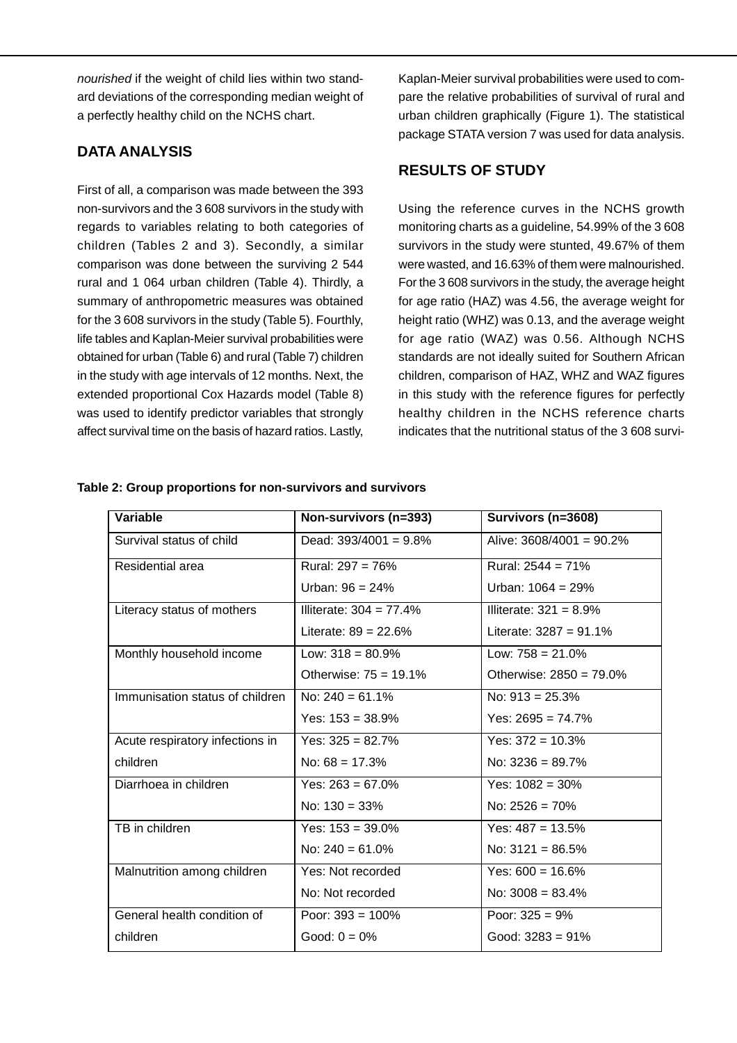nourished if the weight of child lies within two standard deviations of the corresponding median weight of a perfectly healthy child on the NCHS chart.

# **DATA ANALYSIS**

First of all, a comparison was made between the 393 non-survivors and the 3 608 survivors in the study with regards to variables relating to both categories of children (Tables 2 and 3). Secondly, a similar comparison was done between the surviving 2 544 rural and 1 064 urban children (Table 4). Thirdly, a summary of anthropometric measures was obtained for the 3 608 survivors in the study (Table 5). Fourthly, life tables and Kaplan-Meier survival probabilities were obtained for urban (Table 6) and rural (Table 7) children in the study with age intervals of 12 months. Next, the extended proportional Cox Hazards model (Table 8) was used to identify predictor variables that strongly affect survival time on the basis of hazard ratios. Lastly,

Kaplan-Meier survival probabilities were used to compare the relative probabilities of survival of rural and urban children graphically (Figure 1). The statistical package STATA version 7 was used for data analysis.

# **RESULTS OF STUDY**

Using the reference curves in the NCHS growth monitoring charts as a guideline, 54.99% of the 3 608 survivors in the study were stunted, 49.67% of them were wasted, and 16.63% of them were malnourished. For the 3 608 survivors in the study, the average height for age ratio (HAZ) was 4.56, the average weight for height ratio (WHZ) was 0.13, and the average weight for age ratio (WAZ) was 0.56. Although NCHS standards are not ideally suited for Southern African children, comparison of HAZ, WHZ and WAZ figures in this study with the reference figures for perfectly healthy children in the NCHS reference charts indicates that the nutritional status of the 3 608 survi-

| Variable                        | Non-survivors (n=393)      | Survivors (n=3608)          |
|---------------------------------|----------------------------|-----------------------------|
| Survival status of child        | Dead: $393/4001 = 9.8\%$   | Alive: $3608/4001 = 90.2\%$ |
| Residential area                | Rural: $297 = 76%$         | Rural: $2544 = 71\%$        |
|                                 | Urban: $96 = 24\%$         | Urban: $1064 = 29\%$        |
| Literacy status of mothers      | Illiterate: $304 = 77.4\%$ | Illiterate: $321 = 8.9\%$   |
|                                 | Literate: $89 = 22.6\%$    | Literate: $3287 = 91.1\%$   |
| Monthly household income        | Low: $318 = 80.9\%$        | Low: $758 = 21.0\%$         |
|                                 | Otherwise: $75 = 19.1\%$   | Otherwise: $2850 = 79.0\%$  |
| Immunisation status of children | No: $240 = 61.1\%$         | No: $913 = 25.3\%$          |
|                                 | Yes: $153 = 38.9%$         | Yes: $2695 = 74.7\%$        |
| Acute respiratory infections in | Yes: $325 = 82.7\%$        | Yes: $372 = 10.3\%$         |
| children                        | No: $68 = 17.3\%$          | No: $3236 = 89.7\%$         |
| Diarrhoea in children           | Yes: $263 = 67.0\%$        | Yes: $1082 = 30\%$          |
|                                 | No: $130 = 33\%$           | No: $2526 = 70\%$           |
| TB in children                  | Yes: $153 = 39.0\%$        | Yes: $487 = 13.5\%$         |
|                                 | No: $240 = 61.0\%$         | No: $3121 = 86.5\%$         |
| Malnutrition among children     | Yes: Not recorded          | Yes: $600 = 16.6\%$         |
|                                 | No: Not recorded           | No: $3008 = 83.4\%$         |
| General health condition of     | Poor: $393 = 100\%$        | Poor: $325 = 9\%$           |
| children                        | Good: $0 = 0\%$            | Good: $3283 = 91\%$         |

#### **Table 2: Group proportions for non-survivors and survivors**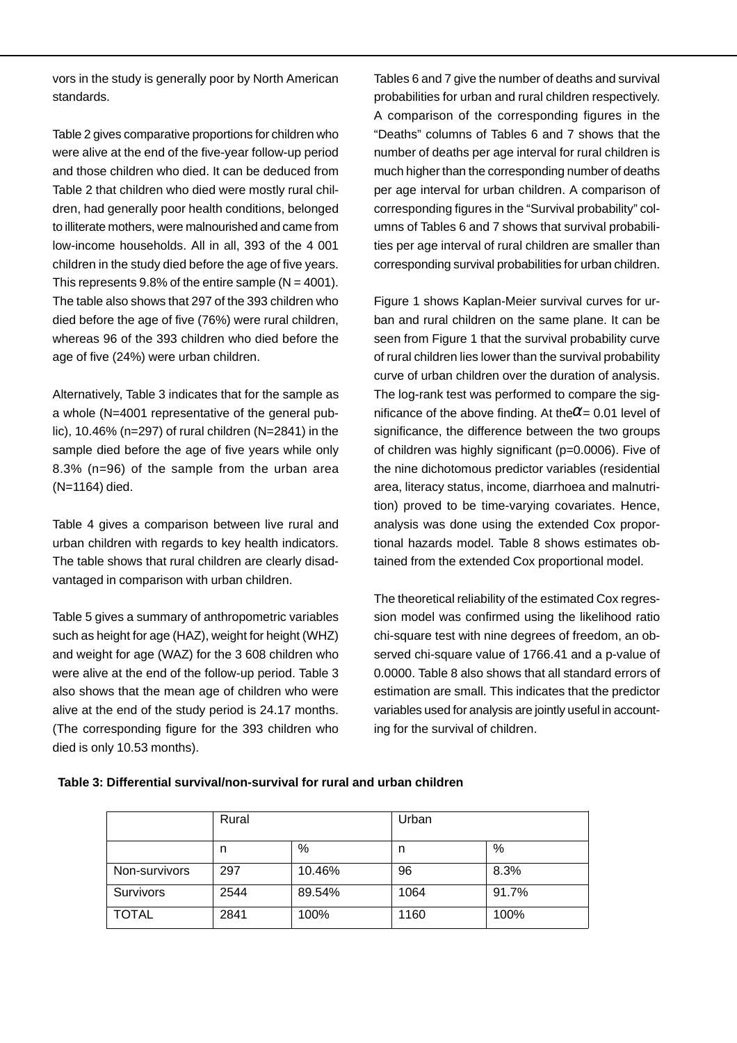vors in the study is generally poor by North American standards.

Table 2 gives comparative proportions for children who were alive at the end of the five-year follow-up period and those children who died. It can be deduced from Table 2 that children who died were mostly rural children, had generally poor health conditions, belonged to illiterate mothers, were malnourished and came from low-income households. All in all, 393 of the 4 001 children in the study died before the age of five years. This represents  $9.8\%$  of the entire sample (N = 4001). The table also shows that 297 of the 393 children who died before the age of five (76%) were rural children, whereas 96 of the 393 children who died before the age of five (24%) were urban children.

Alternatively, Table 3 indicates that for the sample as a whole (N=4001 representative of the general public), 10.46% (n=297) of rural children (N=2841) in the sample died before the age of five years while only 8.3% (n=96) of the sample from the urban area (N=1164) died.

Table 4 gives a comparison between live rural and urban children with regards to key health indicators. The table shows that rural children are clearly disadvantaged in comparison with urban children.

Table 5 gives a summary of anthropometric variables such as height for age (HAZ), weight for height (WHZ) and weight for age (WAZ) for the 3 608 children who were alive at the end of the follow-up period. Table 3 also shows that the mean age of children who were alive at the end of the study period is 24.17 months. (The corresponding figure for the 393 children who died is only 10.53 months).

Tables 6 and 7 give the number of deaths and survival probabilities for urban and rural children respectively. A comparison of the corresponding figures in the "Deaths" columns of Tables 6 and 7 shows that the number of deaths per age interval for rural children is much higher than the corresponding number of deaths per age interval for urban children. A comparison of corresponding figures in the "Survival probability" columns of Tables 6 and 7 shows that survival probabilities per age interval of rural children are smaller than corresponding survival probabilities for urban children.

Figure 1 shows Kaplan-Meier survival curves for urban and rural children on the same plane. It can be seen from Figure 1 that the survival probability curve of rural children lies lower than the survival probability curve of urban children over the duration of analysis. The log-rank test was performed to compare the significance of the above finding. At the  $\alpha$  = 0.01 level of significance, the difference between the two groups of children was highly significant (p=0.0006). Five of the nine dichotomous predictor variables (residential area, literacy status, income, diarrhoea and malnutrition) proved to be time-varying covariates. Hence, analysis was done using the extended Cox proportional hazards model. Table 8 shows estimates obtained from the extended Cox proportional model.

The theoretical reliability of the estimated Cox regression model was confirmed using the likelihood ratio chi-square test with nine degrees of freedom, an observed chi-square value of 1766.41 and a p-value of 0.0000. Table 8 also shows that all standard errors of estimation are small. This indicates that the predictor variables used for analysis are jointly useful in accounting for the survival of children.

|               | Rural |        | Urban |       |
|---------------|-------|--------|-------|-------|
|               |       |        |       |       |
|               | n     | %      | n     | %     |
| Non-survivors | 297   | 10.46% | 96    | 8.3%  |
| Survivors     | 2544  | 89.54% | 1064  | 91.7% |
| TOTAL         | 2841  | 100%   | 1160  | 100%  |

#### **Table 3: Differential survival/non-survival for rural and urban children**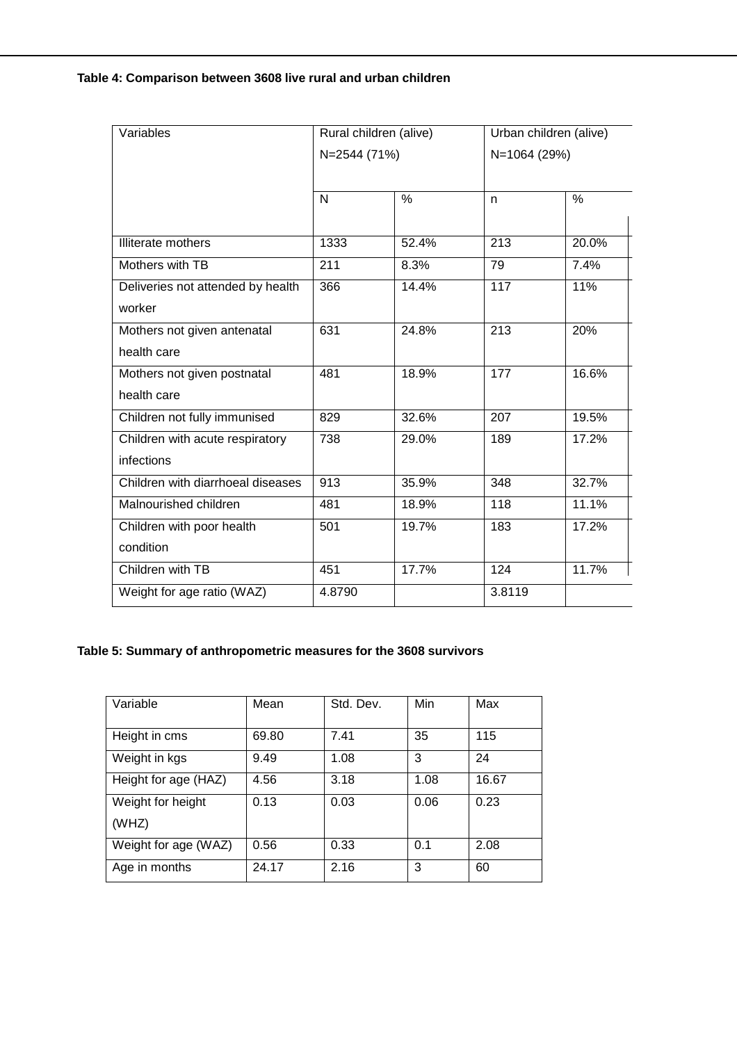### **Table 4: Comparison between 3608 live rural and urban children**

| Variables                         | Rural children (alive) |       | Urban children (alive) |               |
|-----------------------------------|------------------------|-------|------------------------|---------------|
|                                   | N=2544 (71%)           |       | N=1064 (29%)           |               |
|                                   |                        |       |                        |               |
|                                   | N                      | $\%$  | n                      | $\frac{0}{0}$ |
|                                   |                        |       |                        |               |
| <b>Illiterate mothers</b>         | 1333                   | 52.4% | $\overline{213}$       | 20.0%         |
| Mothers with TB                   | 211                    | 8.3%  | 79                     | 7.4%          |
| Deliveries not attended by health | 366                    | 14.4% | 117                    | 11%           |
| worker                            |                        |       |                        |               |
| Mothers not given antenatal       | 631                    | 24.8% | 213                    | 20%           |
| health care                       |                        |       |                        |               |
| Mothers not given postnatal       | 481                    | 18.9% | $\overline{177}$       | 16.6%         |
| health care                       |                        |       |                        |               |
| Children not fully immunised      | 829                    | 32.6% | 207                    | 19.5%         |
| Children with acute respiratory   | 738                    | 29.0% | 189                    | 17.2%         |
| infections                        |                        |       |                        |               |
| Children with diarrhoeal diseases | 913                    | 35.9% | 348                    | 32.7%         |
| Malnourished children             | 481                    | 18.9% | 118                    | 11.1%         |
| Children with poor health         | 501                    | 19.7% | 183                    | 17.2%         |
| condition                         |                        |       |                        |               |
| Children with TB                  | 451                    | 17.7% | 124                    | 11.7%         |
| Weight for age ratio (WAZ)        | 4.8790                 |       | 3.8119                 |               |

# **Table 5: Summary of anthropometric measures for the 3608 survivors**

| Variable             | Mean  | Std. Dev. | Min  | Max   |
|----------------------|-------|-----------|------|-------|
| Height in cms        | 69.80 | 7.41      | 35   | 115   |
| Weight in kgs        | 9.49  | 1.08      | 3    | 24    |
| Height for age (HAZ) | 4.56  | 3.18      | 1.08 | 16.67 |
| Weight for height    | 0.13  | 0.03      | 0.06 | 0.23  |
| (WHZ)                |       |           |      |       |
| Weight for age (WAZ) | 0.56  | 0.33      | 0.1  | 2.08  |
| Age in months        | 24.17 | 2.16      | 3    | 60    |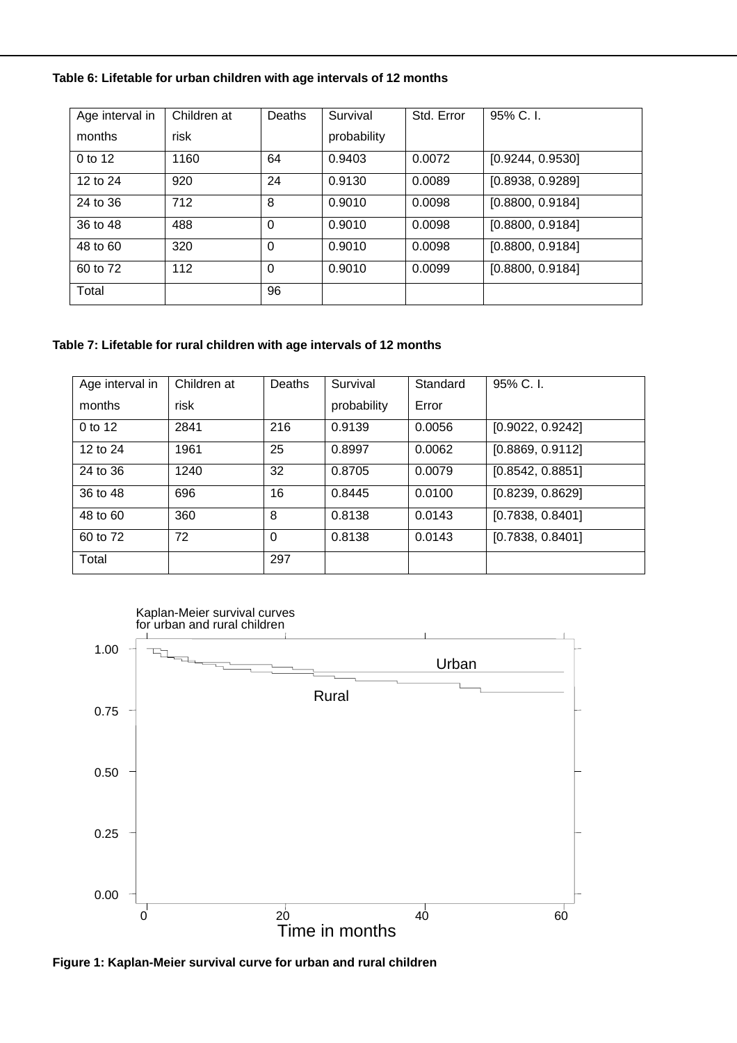### **Table 6: Lifetable for urban children with age intervals of 12 months**

| Age interval in | Children at | Deaths   | Survival    | Std. Error | 95% C.I.         |
|-----------------|-------------|----------|-------------|------------|------------------|
| months          | risk        |          | probability |            |                  |
| 0 to 12         | 1160        | 64       | 0.9403      | 0.0072     | [0.9244, 0.9530] |
| 12 to 24        | 920         | 24       | 0.9130      | 0.0089     | [0.8938, 0.9289] |
| 24 to 36        | 712         | 8        | 0.9010      | 0.0098     | [0.8800, 0.9184] |
| 36 to 48        | 488         | $\Omega$ | 0.9010      | 0.0098     | [0.8800, 0.9184] |
| 48 to 60        | 320         | $\Omega$ | 0.9010      | 0.0098     | [0.8800, 0.9184] |
| 60 to 72        | 112         | $\Omega$ | 0.9010      | 0.0099     | [0.8800, 0.9184] |
| Total           |             | 96       |             |            |                  |

#### **Table 7: Lifetable for rural children with age intervals of 12 months**

| Age interval in | Children at | Deaths   | Survival    | Standard | 95% C.I.         |
|-----------------|-------------|----------|-------------|----------|------------------|
| months          | risk        |          | probability | Error    |                  |
| 0 to 12         | 2841        | 216      | 0.9139      | 0.0056   | [0.9022, 0.9242] |
| 12 to 24        | 1961        | 25       | 0.8997      | 0.0062   | [0.8869, 0.9112] |
| 24 to 36        | 1240        | 32       | 0.8705      | 0.0079   | [0.8542, 0.8851] |
| 36 to 48        | 696         | 16       | 0.8445      | 0.0100   | [0.8239, 0.8629] |
| 48 to 60        | 360         | 8        | 0.8138      | 0.0143   | [0.7838, 0.8401] |
| 60 to 72        | 72          | $\Omega$ | 0.8138      | 0.0143   | [0.7838, 0.8401] |
| Total           |             | 297      |             |          |                  |



**Figure 1: Kaplan-Meier survival curve for urban and rural children**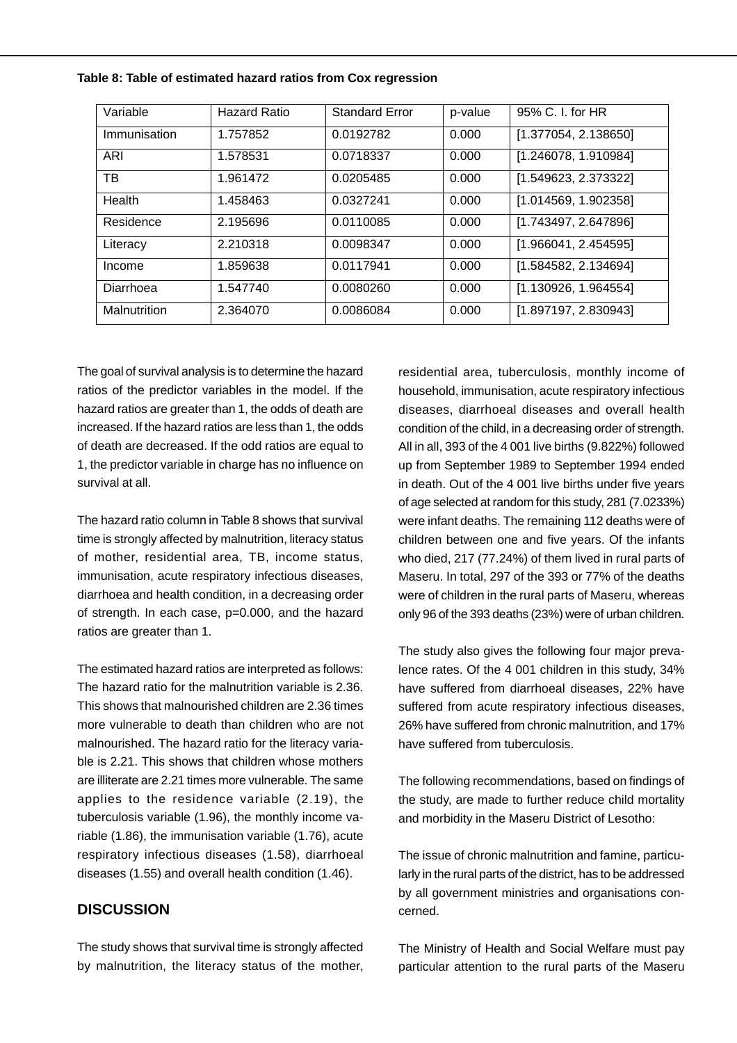| Variable     | Hazard Ratio | <b>Standard Error</b> | p-value | 95% C. I. for HR     |
|--------------|--------------|-----------------------|---------|----------------------|
| Immunisation | 1.757852     | 0.0192782             | 0.000   | [1.377054, 2.138650] |
| ARI          | 1.578531     | 0.0718337             | 0.000   | [1.246078, 1.910984] |
| ТB           | 1.961472     | 0.0205485             | 0.000   | [1.549623, 2.373322] |
| Health       | 1.458463     | 0.0327241             | 0.000   | [1.014569, 1.902358] |
| Residence    | 2.195696     | 0.0110085             | 0.000   | [1.743497, 2.647896] |
| Literacy     | 2.210318     | 0.0098347             | 0.000   | [1.966041, 2.454595] |
| Income       | 1.859638     | 0.0117941             | 0.000   | [1.584582, 2.134694] |
| Diarrhoea    | 1.547740     | 0.0080260             | 0.000   | [1.130926, 1.964554] |
| Malnutrition | 2.364070     | 0.0086084             | 0.000   | [1.897197, 2.830943] |

**Table 8: Table of estimated hazard ratios from Cox regression**

The goal of survival analysis is to determine the hazard ratios of the predictor variables in the model. If the hazard ratios are greater than 1, the odds of death are increased. If the hazard ratios are less than 1, the odds of death are decreased. If the odd ratios are equal to 1, the predictor variable in charge has no influence on survival at all.

The hazard ratio column in Table 8 shows that survival time is strongly affected by malnutrition, literacy status of mother, residential area, TB, income status, immunisation, acute respiratory infectious diseases, diarrhoea and health condition, in a decreasing order of strength. In each case, p=0.000, and the hazard ratios are greater than 1.

The estimated hazard ratios are interpreted as follows: The hazard ratio for the malnutrition variable is 2.36. This shows that malnourished children are 2.36 times more vulnerable to death than children who are not malnourished. The hazard ratio for the literacy variable is 2.21. This shows that children whose mothers are illiterate are 2.21 times more vulnerable. The same applies to the residence variable (2.19), the tuberculosis variable (1.96), the monthly income variable (1.86), the immunisation variable (1.76), acute respiratory infectious diseases (1.58), diarrhoeal diseases (1.55) and overall health condition (1.46).

### **DISCUSSION**

The study shows that survival time is strongly affected by malnutrition, the literacy status of the mother,

residential area, tuberculosis, monthly income of household, immunisation, acute respiratory infectious diseases, diarrhoeal diseases and overall health condition of the child, in a decreasing order of strength. All in all, 393 of the 4 001 live births (9.822%) followed up from September 1989 to September 1994 ended in death. Out of the 4 001 live births under five years of age selected at random for this study, 281 (7.0233%) were infant deaths. The remaining 112 deaths were of children between one and five years. Of the infants who died, 217 (77.24%) of them lived in rural parts of Maseru. In total, 297 of the 393 or 77% of the deaths were of children in the rural parts of Maseru, whereas only 96 of the 393 deaths (23%) were of urban children.

The study also gives the following four major prevalence rates. Of the 4 001 children in this study, 34% have suffered from diarrhoeal diseases, 22% have suffered from acute respiratory infectious diseases, 26% have suffered from chronic malnutrition, and 17% have suffered from tuberculosis.

The following recommendations, based on findings of the study, are made to further reduce child mortality and morbidity in the Maseru District of Lesotho:

The issue of chronic malnutrition and famine, particularly in the rural parts of the district, has to be addressed by all government ministries and organisations concerned.

The Ministry of Health and Social Welfare must pay particular attention to the rural parts of the Maseru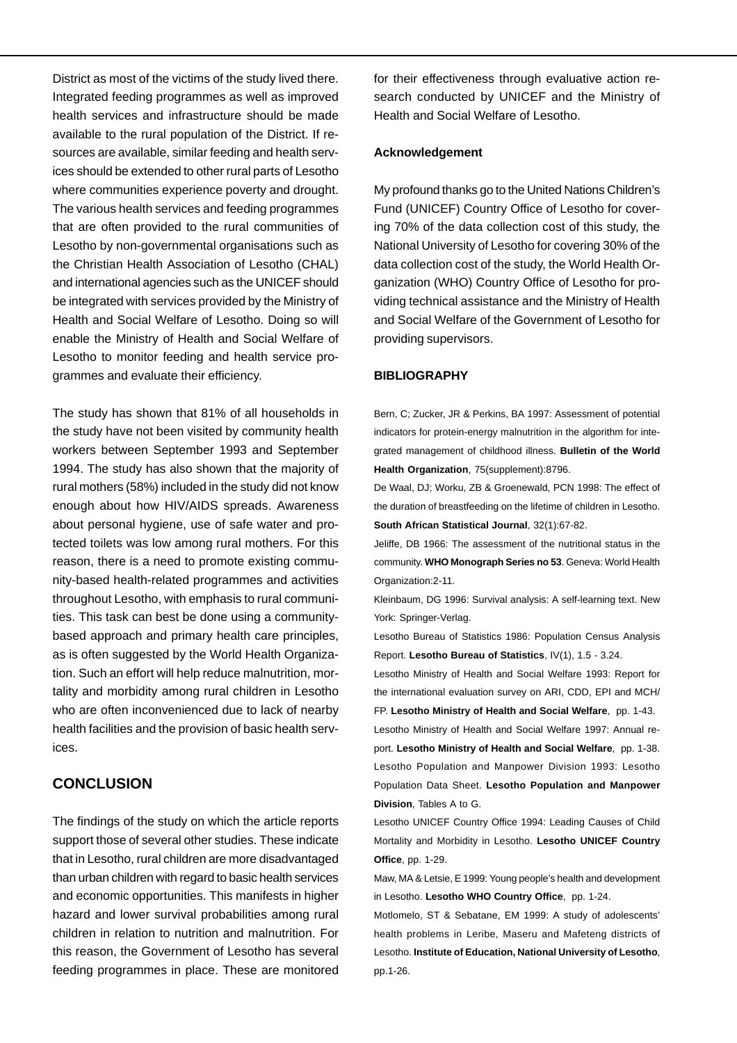District as most of the victims of the study lived there. Integrated feeding programmes as well as improved health services and infrastructure should be made available to the rural population of the District. If resources are available, similar feeding and health services should be extended to other rural parts of Lesotho where communities experience poverty and drought. The various health services and feeding programmes that are often provided to the rural communities of Lesotho by non-governmental organisations such as the Christian Health Association of Lesotho (CHAL) and international agencies such as the UNICEF should be integrated with services provided by the Ministry of Health and Social Welfare of Lesotho. Doing so will enable the Ministry of Health and Social Welfare of Lesotho to monitor feeding and health service programmes and evaluate their efficiency.

The study has shown that 81% of all households in the study have not been visited by community health workers between September 1993 and September 1994. The study has also shown that the majority of rural mothers (58%) included in the study did not know enough about how HIV/AIDS spreads. Awareness about personal hygiene, use of safe water and protected toilets was low among rural mothers. For this reason, there is a need to promote existing community-based health-related programmes and activities throughout Lesotho, with emphasis to rural communities. This task can best be done using a communitybased approach and primary health care principles, as is often suggested by the World Health Organization. Such an effort will help reduce malnutrition, mortality and morbidity among rural children in Lesotho who are often inconvenienced due to lack of nearby health facilities and the provision of basic health services.

## **CONCLUSION**

The findings of the study on which the article reports support those of several other studies. These indicate that in Lesotho, rural children are more disadvantaged than urban children with regard to basic health services and economic opportunities. This manifests in higher hazard and lower survival probabilities among rural children in relation to nutrition and malnutrition. For this reason, the Government of Lesotho has several feeding programmes in place. These are monitored for their effectiveness through evaluative action research conducted by UNICEF and the Ministry of Health and Social Welfare of Lesotho.

#### **Acknowledgement**

My profound thanks go to the United Nations Children's Fund (UNICEF) Country Office of Lesotho for covering 70% of the data collection cost of this study, the National University of Lesotho for covering 30% of the data collection cost of the study, the World Health Organization (WHO) Country Office of Lesotho for providing technical assistance and the Ministry of Health and Social Welfare of the Government of Lesotho for providing supervisors.

#### **BIBLIOGRAPHY**

Bern, C; Zucker, JR & Perkins, BA 1997: Assessment of potential indicators for protein-energy malnutrition in the algorithm for integrated management of childhood illness. **Bulletin of the World Health Organization**, 75(supplement):8796.

De Waal, DJ; Worku, ZB & Groenewald, PCN 1998: The effect of the duration of breastfeeding on the lifetime of children in Lesotho. **South African Statistical Journal**, 32(1):67-82.

Jeliffe, DB 1966: The assessment of the nutritional status in the community. **WHO Monograph Series no 53**. Geneva: World Health Organization:2-11.

Kleinbaum, DG 1996: Survival analysis: A self-learning text. New York: Springer-Verlag.

Lesotho Bureau of Statistics 1986: Population Census Analysis Report. **Lesotho Bureau of Statistics**, IV(1), 1.5 - 3.24.

Lesotho Ministry of Health and Social Welfare 1993: Report for the international evaluation survey on ARI, CDD, EPI and MCH/ FP. **Lesotho Ministry of Health and Social Welfare**, pp. 1-43. Lesotho Ministry of Health and Social Welfare 1997: Annual report. **Lesotho Ministry of Health and Social Welfare**, pp. 1-38. Lesotho Population and Manpower Division 1993: Lesotho Population Data Sheet. **Lesotho Population and Manpower Division**, Tables A to G.

Lesotho UNICEF Country Office 1994: Leading Causes of Child Mortality and Morbidity in Lesotho. **Lesotho UNICEF Country Office**, pp. 1-29.

Maw, MA & Letsie, E 1999: Young people's health and development in Lesotho. **Lesotho WHO Country Office**, pp. 1-24.

Motlomelo, ST & Sebatane, EM 1999: A study of adolescents' health problems in Leribe, Maseru and Mafeteng districts of Lesotho. **Institute of Education, National University of Lesotho**, pp.1-26.